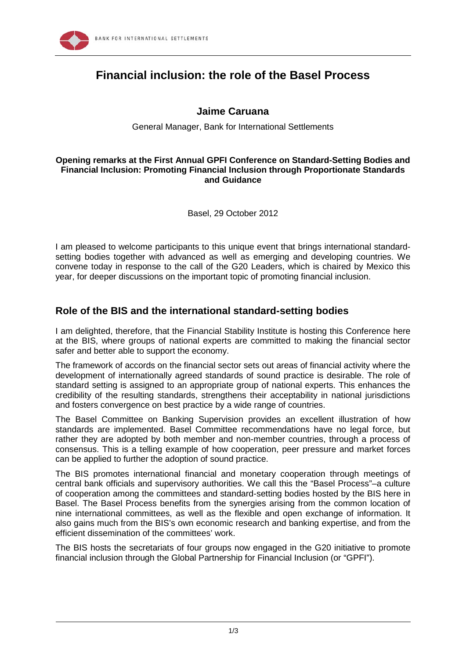

# **Financial inclusion: the role of the Basel Process**

#### **Jaime Caruana**

General Manager, Bank for International Settlements

#### **Opening remarks at the First Annual GPFI Conference on Standard-Setting Bodies and Financial Inclusion: Promoting Financial Inclusion through Proportionate Standards and Guidance**

Basel, 29 October 2012

I am pleased to welcome participants to this unique event that brings international standardsetting bodies together with advanced as well as emerging and developing countries. We convene today in response to the call of the G20 Leaders, which is chaired by Mexico this year, for deeper discussions on the important topic of promoting financial inclusion.

### **Role of the BIS and the international standard-setting bodies**

I am delighted, therefore, that the Financial Stability Institute is hosting this Conference here at the BIS, where groups of national experts are committed to making the financial sector safer and better able to support the economy.

The framework of accords on the financial sector sets out areas of financial activity where the development of internationally agreed standards of sound practice is desirable. The role of standard setting is assigned to an appropriate group of national experts. This enhances the credibility of the resulting standards, strengthens their acceptability in national jurisdictions and fosters convergence on best practice by a wide range of countries.

The Basel Committee on Banking Supervision provides an excellent illustration of how standards are implemented. Basel Committee recommendations have no legal force, but rather they are adopted by both member and non-member countries, through a process of consensus. This is a telling example of how cooperation, peer pressure and market forces can be applied to further the adoption of sound practice.

The BIS promotes international financial and monetary cooperation through meetings of central bank officials and supervisory authorities. We call this the "Basel Process"–a culture of cooperation among the committees and standard-setting bodies hosted by the BIS here in Basel. The Basel Process benefits from the synergies arising from the common location of nine international committees, as well as the flexible and open exchange of information. It also gains much from the BIS's own economic research and banking expertise, and from the efficient dissemination of the committees' work.

The BIS hosts the secretariats of four groups now engaged in the G20 initiative to promote financial inclusion through the Global Partnership for Financial Inclusion (or "GPFI").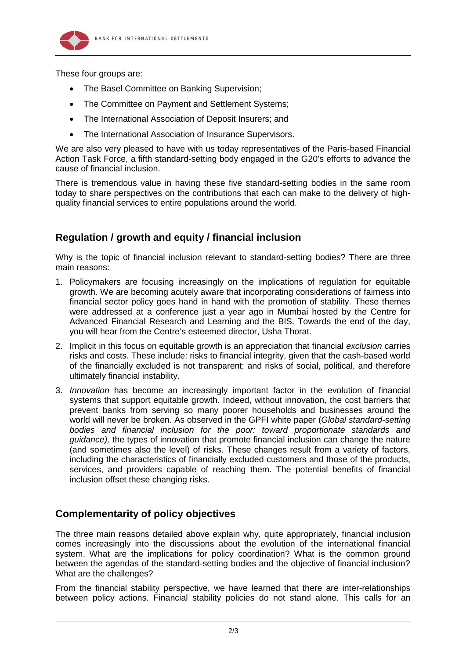

These four groups are:

- The Basel Committee on Banking Supervision;
- The Committee on Payment and Settlement Systems;
- The International Association of Deposit Insurers; and
- The International Association of Insurance Supervisors.

We are also very pleased to have with us today representatives of the Paris-based Financial Action Task Force, a fifth standard-setting body engaged in the G20's efforts to advance the cause of financial inclusion.

There is tremendous value in having these five standard-setting bodies in the same room today to share perspectives on the contributions that each can make to the delivery of highquality financial services to entire populations around the world.

# **Regulation / growth and equity / financial inclusion**

Why is the topic of financial inclusion relevant to standard-setting bodies? There are three main reasons:

- 1. Policymakers are focusing increasingly on the implications of regulation for equitable growth. We are becoming acutely aware that incorporating considerations of fairness into financial sector policy goes hand in hand with the promotion of stability. These themes were addressed at a conference just a year ago in Mumbai hosted by the Centre for Advanced Financial Research and Learning and the BIS. Towards the end of the day, you will hear from the Centre's esteemed director, Usha Thorat.
- 2. Implicit in this focus on equitable growth is an appreciation that financial *exclusion* carries risks and costs. These include: risks to financial integrity, given that the cash-based world of the financially excluded is not transparent; and risks of social, political, and therefore ultimately financial instability.
- 3. *Innovation* has become an increasingly important factor in the evolution of financial systems that support equitable growth. Indeed, without innovation, the cost barriers that prevent banks from serving so many poorer households and businesses around the world will never be broken. As observed in the GPFI white paper (*Global standard-setting bodies and financial inclusion for the poor: toward proportionate standards and guidance),* the types of innovation that promote financial inclusion can change the nature (and sometimes also the level) of risks. These changes result from a variety of factors, including the characteristics of financially excluded customers and those of the products, services, and providers capable of reaching them. The potential benefits of financial inclusion offset these changing risks.

# **Complementarity of policy objectives**

The three main reasons detailed above explain why, quite appropriately, financial inclusion comes increasingly into the discussions about the evolution of the international financial system. What are the implications for policy coordination? What is the common ground between the agendas of the standard-setting bodies and the objective of financial inclusion? What are the challenges?

From the financial stability perspective, we have learned that there are inter-relationships between policy actions. Financial stability policies do not stand alone. This calls for an